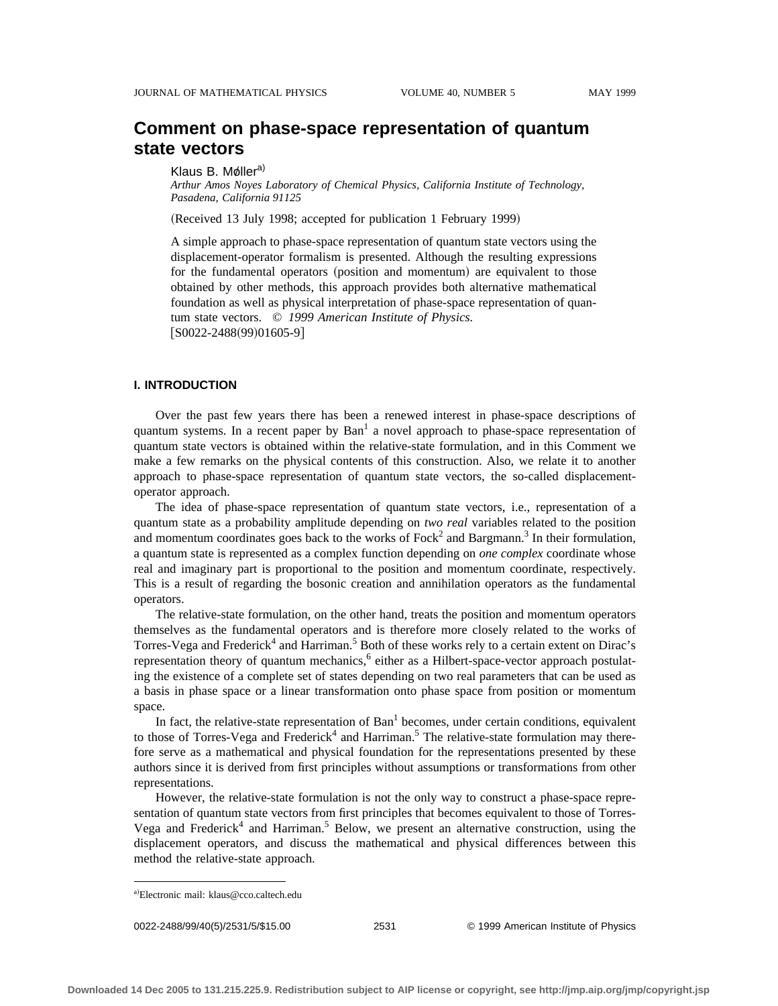# **Comment on phase-space representation of quantum state vectors**

#### Klaus B. Møller<sup>a)</sup>

*Arthur Amos Noyes Laboratory of Chemical Physics, California Institute of Technology, Pasadena, California 91125*

(Received 13 July 1998; accepted for publication 1 February 1999)

A simple approach to phase-space representation of quantum state vectors using the displacement-operator formalism is presented. Although the resulting expressions for the fundamental operators (position and momentum) are equivalent to those obtained by other methods, this approach provides both alternative mathematical foundation as well as physical interpretation of phase-space representation of quantum state vectors. © *1999 American Institute of Physics.*  $[$ S0022-2488(99)01605-9]

### **I. INTRODUCTION**

Over the past few years there has been a renewed interest in phase-space descriptions of quantum systems. In a recent paper by  $Ban<sup>1</sup>$  a novel approach to phase-space representation of quantum state vectors is obtained within the relative-state formulation, and in this Comment we make a few remarks on the physical contents of this construction. Also, we relate it to another approach to phase-space representation of quantum state vectors, the so-called displacementoperator approach.

The idea of phase-space representation of quantum state vectors, i.e., representation of a quantum state as a probability amplitude depending on *two real* variables related to the position and momentum coordinates goes back to the works of  $Fock<sup>2</sup>$  and Bargmann.<sup>3</sup> In their formulation, a quantum state is represented as a complex function depending on *one complex* coordinate whose real and imaginary part is proportional to the position and momentum coordinate, respectively. This is a result of regarding the bosonic creation and annihilation operators as the fundamental operators.

The relative-state formulation, on the other hand, treats the position and momentum operators themselves as the fundamental operators and is therefore more closely related to the works of Torres-Vega and Frederick<sup>4</sup> and Harriman.<sup>5</sup> Both of these works rely to a certain extent on Dirac's representation theory of quantum mechanics, $6$  either as a Hilbert-space-vector approach postulating the existence of a complete set of states depending on two real parameters that can be used as a basis in phase space or a linear transformation onto phase space from position or momentum space.

In fact, the relative-state representation of  $Ban<sup>1</sup>$  becomes, under certain conditions, equivalent to those of Torres-Vega and Frederick<sup>4</sup> and Harriman.<sup>5</sup> The relative-state formulation may therefore serve as a mathematical and physical foundation for the representations presented by these authors since it is derived from first principles without assumptions or transformations from other representations.

However, the relative-state formulation is not the only way to construct a phase-space representation of quantum state vectors from first principles that becomes equivalent to those of Torres-Vega and Frederick<sup>4</sup> and Harriman.<sup>5</sup> Below, we present an alternative construction, using the displacement operators, and discuss the mathematical and physical differences between this method the relative-state approach.

0022-2488/99/40(5)/2531/5/\$15.00 © 1999 American Institute of Physics 2531

a)Electronic mail: klaus@cco.caltech.edu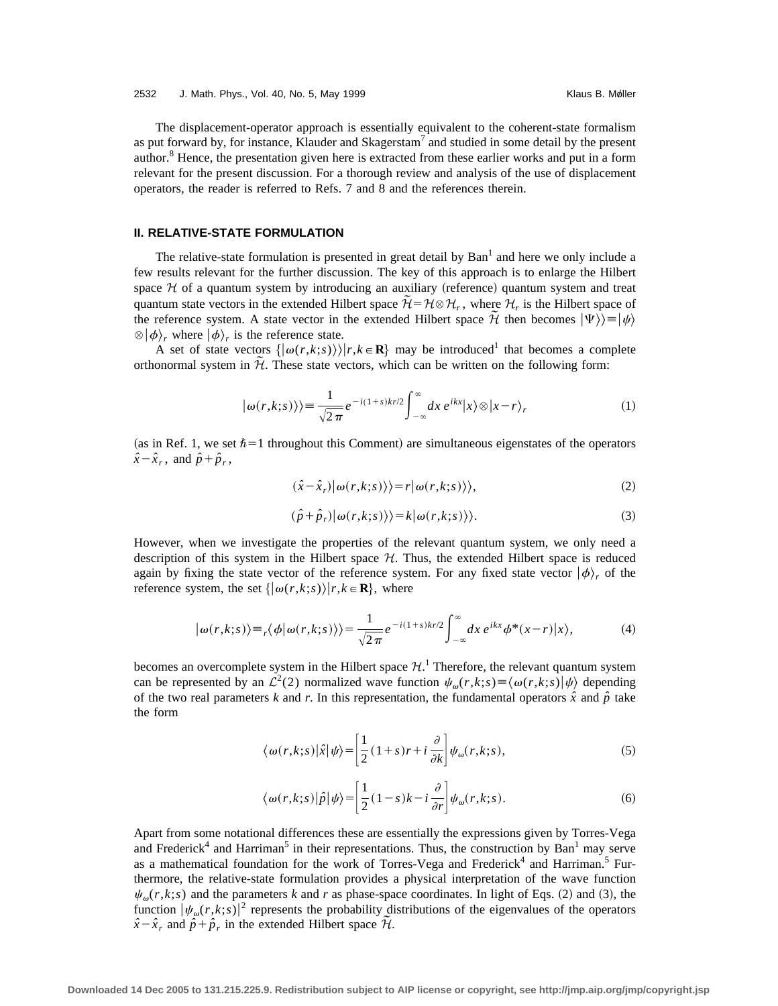The displacement-operator approach is essentially equivalent to the coherent-state formalism as put forward by, for instance, Klauder and Skagerstam<sup>7</sup> and studied in some detail by the present author.8 Hence, the presentation given here is extracted from these earlier works and put in a form relevant for the present discussion. For a thorough review and analysis of the use of displacement operators, the reader is referred to Refs. 7 and 8 and the references therein.

# **II. RELATIVE-STATE FORMULATION**

The relative-state formulation is presented in great detail by  $Ban<sup>1</sup>$  and here we only include a few results relevant for the further discussion. The key of this approach is to enlarge the Hilbert space  $H$  of a quantum system by introducing an auxiliary (reference) quantum system and treat quantum state vectors in the extended Hilbert space  $\widetilde{\mathcal{H}} = \mathcal{H} \otimes \mathcal{H}_r$ , where  $\mathcal{H}_r$  is the Hilbert space of the reference system. A state vector in the extended Hilbert space  $\hat{\mathcal{H}}$  then becomes  $|\Psi\rangle\rangle = |\psi\rangle$  $\otimes$   $|\phi\rangle$ , where  $|\phi\rangle$ , is the reference state.

A set of state vectors  $\{|\omega(r,k;s)\rangle | r,k \in \mathbf{R}\}\$  may be introduced<sup>1</sup> that becomes a complete orthonormal system in  $H$ . These state vectors, which can be written on the following form:

$$
|\omega(r,k;s)\rangle\rangle = \frac{1}{\sqrt{2\pi}}e^{-i(1+s)kr/2}\int_{-\infty}^{\infty}dx\ e^{ikx}|x\rangle\otimes|x-r\rangle_r\tag{1}
$$

(as in Ref. 1, we set  $\hbar=1$  throughout this Comment) are simultaneous eigenstates of the operators  $\hat{x} - \hat{x}_r$ , and  $\hat{p} + \hat{p}_r$ ,

$$
(\hat{x} - \hat{x}_r) | \omega(r, k; s) \rangle = r | \omega(r, k; s) \rangle,
$$
 (2)

$$
(\hat{p} + \hat{p}_r)|\omega(r, k; s)\rangle = k|\omega(r, k; s)\rangle.
$$
 (3)

However, when we investigate the properties of the relevant quantum system, we only need a description of this system in the Hilbert space *H*. Thus, the extended Hilbert space is reduced again by fixing the state vector of the reference system. For any fixed state vector  $|\phi\rangle$ , of the reference system, the set  $\{|\omega(r, k; s)\rangle | r, k \in \mathbb{R}\}$ , where

$$
|\omega(r,k;s)\rangle \equiv r\langle\phi|\omega(r,k;s)\rangle\rangle = \frac{1}{\sqrt{2\pi}}e^{-i(1+s)kr/2}\int_{-\infty}^{\infty}dx\,e^{ikx}\phi^*(x-r)|x\rangle,\tag{4}
$$

becomes an overcomplete system in the Hilbert space  $\mathcal{H}$ .<sup>1</sup> Therefore, the relevant quantum system can be represented by an  $\mathcal{L}^2(2)$  normalized wave function  $\psi_{\omega}(r,k;s) \equiv \langle \omega(r,k;s) | \psi \rangle$  depending of the two real parameters *k* and *r*. In this representation, the fundamental operators  $\hat{x}$  and  $\hat{p}$  take the form

$$
\langle \omega(r,k;s)|\hat{x}|\psi\rangle = \left[\frac{1}{2}(1+s)r + i\frac{\partial}{\partial k}\right]\psi_{\omega}(r,k;s),\tag{5}
$$

$$
\langle \omega(r,k;s)|\hat{p}|\psi\rangle = \left|\frac{1}{2}(1-s)k - i\frac{\partial}{\partial r}\right|\psi_{\omega}(r,k;s).
$$
 (6)

Apart from some notational differences these are essentially the expressions given by Torres-Vega and Frederick<sup>4</sup> and Harriman<sup>5</sup> in their representations. Thus, the construction by Ban<sup>1</sup> may serve as a mathematical foundation for the work of Torres-Vega and Frederick<sup>4</sup> and Harriman.<sup>5</sup> Furthermore, the relative-state formulation provides a physical interpretation of the wave function  $\psi_{\omega}(r,k;s)$  and the parameters *k* and *r* as phase-space coordinates. In light of Eqs. (2) and (3), the function  $|\psi_{\omega}(r,k;s)|^2$  represents the probability distributions of the eigenvalues of the operators  $\hat{x} - \hat{x}_r$  and  $\hat{p} + \hat{p}_r$  in the extended Hilbert space  $\hat{\mathcal{H}}$ .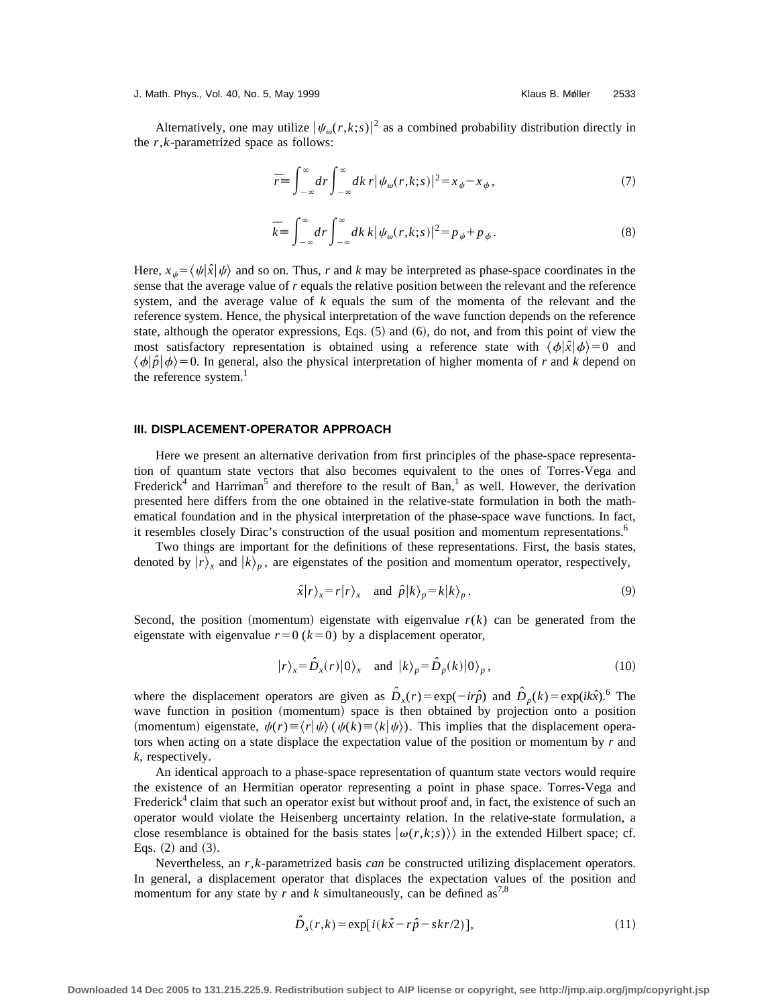J. Math. Phys., Vol. 40, No. 5, May 1999 New York Changes and Math. Phys., Vol. 40, No. 5, May 1999

Alternatively, one may utilize  $|\psi_{\omega}(r,k;s)|^2$  as a combined probability distribution directly in the *r*,*k*-parametrized space as follows:

$$
\overline{r} \equiv \int_{-\infty}^{\infty} dr \int_{-\infty}^{\infty} dk \, r |\psi_{\omega}(r, k; s)|^2 = x_{\psi} - x_{\phi},\tag{7}
$$

$$
\bar{k} \equiv \int_{-\infty}^{\infty} dr \int_{-\infty}^{\infty} dk \, k |\psi_{\omega}(r, k; s)|^2 = p \psi + p \psi. \tag{8}
$$

Here,  $x_{\mu} = \langle \psi | \hat{x} | \psi \rangle$  and so on. Thus, *r* and *k* may be interpreted as phase-space coordinates in the sense that the average value of *r* equals the relative position between the relevant and the reference system, and the average value of *k* equals the sum of the momenta of the relevant and the reference system. Hence, the physical interpretation of the wave function depends on the reference state, although the operator expressions, Eqs.  $(5)$  and  $(6)$ , do not, and from this point of view the most satisfactory representation is obtained using a reference state with  $\langle \phi | \hat{x} | \phi \rangle = 0$  and  $\langle \phi | \hat{p} | \phi \rangle = 0$ . In general, also the physical interpretation of higher momenta of *r* and *k* depend on the reference system. $<sup>1</sup>$ </sup>

### **III. DISPLACEMENT-OPERATOR APPROACH**

Here we present an alternative derivation from first principles of the phase-space representation of quantum state vectors that also becomes equivalent to the ones of Torres-Vega and Frederick<sup>4</sup> and Harriman<sup>5</sup> and therefore to the result of Ban,<sup>1</sup> as well. However, the derivation presented here differs from the one obtained in the relative-state formulation in both the mathematical foundation and in the physical interpretation of the phase-space wave functions. In fact, it resembles closely Dirac's construction of the usual position and momentum representations.<sup>6</sup>

Two things are important for the definitions of these representations. First, the basis states, denoted by  $|r\rangle$ <sub>*x*</sub> and  $|k\rangle$ <sub>*p*</sub>, are eigenstates of the position and momentum operator, respectively,

$$
\hat{x}|r\rangle_{x} = r|r\rangle_{x}
$$
 and  $\hat{p}|k\rangle_{p} = k|k\rangle_{p}$ . (9)

Second, the position (momentum) eigenstate with eigenvalue  $r(k)$  can be generated from the eigenstate with eigenvalue  $r=0$  ( $k=0$ ) by a displacement operator,

$$
|r\rangle_{x} = \hat{D}_{x}(r)|0\rangle_{x} \quad \text{and} \quad |k\rangle_{p} = \hat{D}_{p}(k)|0\rangle_{p}, \tag{10}
$$

where the displacement operators are given as  $\hat{D}_x(r) = \exp(-ir\hat{p})$  and  $\hat{D}_p(k) = \exp(ik\hat{x})$ .<sup>6</sup> The wave function in position (momentum) space is then obtained by projection onto a position (momentum) eigenstate,  $\psi(r) \equiv \langle r|\psi\rangle (\psi(k) \equiv \langle k|\psi\rangle)$ . This implies that the displacement operators when acting on a state displace the expectation value of the position or momentum by *r* and *k*, respectively.

An identical approach to a phase-space representation of quantum state vectors would require the existence of an Hermitian operator representing a point in phase space. Torres-Vega and Frederick<sup>4</sup> claim that such an operator exist but without proof and, in fact, the existence of such an operator would violate the Heisenberg uncertainty relation. In the relative-state formulation, a close resemblance is obtained for the basis states  $\langle \omega(r,k;s) \rangle$  in the extended Hilbert space; cf. Eqs.  $(2)$  and  $(3)$ .

Nevertheless, an *r*,*k*-parametrized basis *can* be constructed utilizing displacement operators. In general, a displacement operator that displaces the expectation values of the position and momentum for any state by  $r$  and  $k$  simultaneously, can be defined as<sup>7,8</sup>

$$
\hat{D}_s(r,k) = \exp[i(k\hat{x} - r\hat{p} - skr/2)],\tag{11}
$$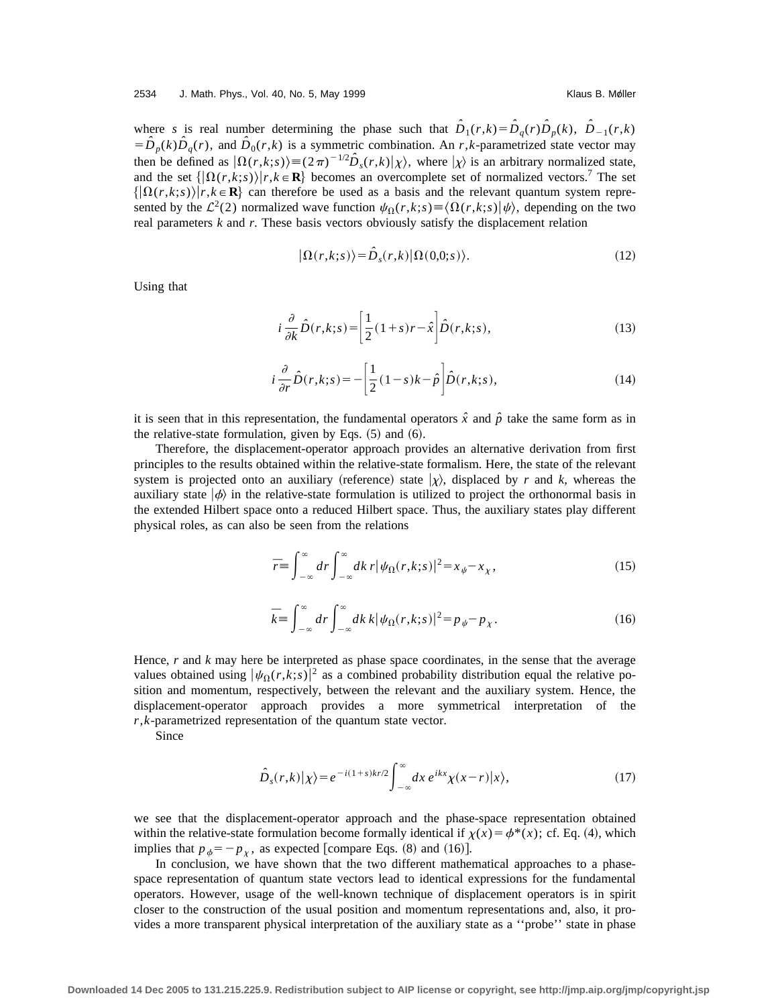where *s* is real number determining the phase such that  $\hat{D}_1(r,k) = \hat{D}_q(r)\hat{D}_p(k)$ ,  $\hat{D}_{-1}(r,k)$  $= D<sub>p</sub>(k)D<sub>q</sub>(r)$ , and  $D<sub>0</sub>(r,k)$  is a symmetric combination. An *r*,*k*-parametrized state vector may then be defined as  $|\Omega(r,k;s)\rangle = (2\pi)^{-1/2} \hat{D}_s(r,k)|\chi\rangle$ , where  $|\chi\rangle$  is an arbitrary normalized state, and the set  $\{|\Omega(r,k;s)\rangle | r, k \in \mathbb{R}\}$  becomes an overcomplete set of normalized vectors.<sup>7</sup> The set  $\{\Omega(r,k;s)\}\r,k\in\mathbb{R}\}$  can therefore be used as a basis and the relevant quantum system represented by the  $\mathcal{L}^2(2)$  normalized wave function  $\psi_{\Omega}(r,k;s) \equiv \langle \Omega(r,k;s)|\psi\rangle$ , depending on the two real parameters *k* and *r*. These basis vectors obviously satisfy the displacement relation

$$
|\Omega(r,k;s)\rangle = \hat{D}_s(r,k)|\Omega(0,0;s)\rangle.
$$
 (12)

Using that

$$
i\frac{\partial}{\partial k}\hat{D}(r,k;s) = \left[\frac{1}{2}(1+s)r - \hat{x}\right]\hat{D}(r,k;s),\tag{13}
$$

$$
i\frac{\partial}{\partial r}\hat{D}(r,k;s) = -\left[\frac{1}{2}(1-s)k - \hat{p}\right]\hat{D}(r,k;s),\tag{14}
$$

it is seen that in this representation, the fundamental operators  $\hat{x}$  and  $\hat{p}$  take the same form as in the relative-state formulation, given by Eqs.  $(5)$  and  $(6)$ .

Therefore, the displacement-operator approach provides an alternative derivation from first principles to the results obtained within the relative-state formalism. Here, the state of the relevant system is projected onto an auxiliary (reference) state  $|\chi\rangle$ , displaced by *r* and *k*, whereas the auxiliary state  $|\phi\rangle$  in the relative-state formulation is utilized to project the orthonormal basis in the extended Hilbert space onto a reduced Hilbert space. Thus, the auxiliary states play different physical roles, as can also be seen from the relations

$$
\overline{r} \equiv \int_{-\infty}^{\infty} dr \int_{-\infty}^{\infty} dk \, r |\psi_{\Omega}(r, k; s)|^2 = x_{\psi} - x_{\chi}, \tag{15}
$$

$$
\bar{k} \equiv \int_{-\infty}^{\infty} dr \int_{-\infty}^{\infty} dk \, k |\psi_{\Omega}(r, k; s)|^2 = p_{\psi} - p_{\chi}.
$$
 (16)

Hence, *r* and *k* may here be interpreted as phase space coordinates, in the sense that the average values obtained using  $|\psi_{\Omega}(r,k;s)|^2$  as a combined probability distribution equal the relative position and momentum, respectively, between the relevant and the auxiliary system. Hence, the displacement-operator approach provides a more symmetrical interpretation of the *r*,*k*-parametrized representation of the quantum state vector.

Since

$$
\hat{D}_s(r,k)|\chi\rangle = e^{-i(1+s)kr/2} \int_{-\infty}^{\infty} dx \, e^{ikx} \chi(x-r)|x\rangle,\tag{17}
$$

we see that the displacement-operator approach and the phase-space representation obtained within the relative-state formulation become formally identical if  $\chi(x) = \phi^*(x)$ ; cf. Eq. (4), which implies that  $p_{\phi} = -p_{\gamma}$ , as expected [compare Eqs. (8) and (16)].

In conclusion, we have shown that the two different mathematical approaches to a phasespace representation of quantum state vectors lead to identical expressions for the fundamental operators. However, usage of the well-known technique of displacement operators is in spirit closer to the construction of the usual position and momentum representations and, also, it provides a more transparent physical interpretation of the auxiliary state as a ''probe'' state in phase